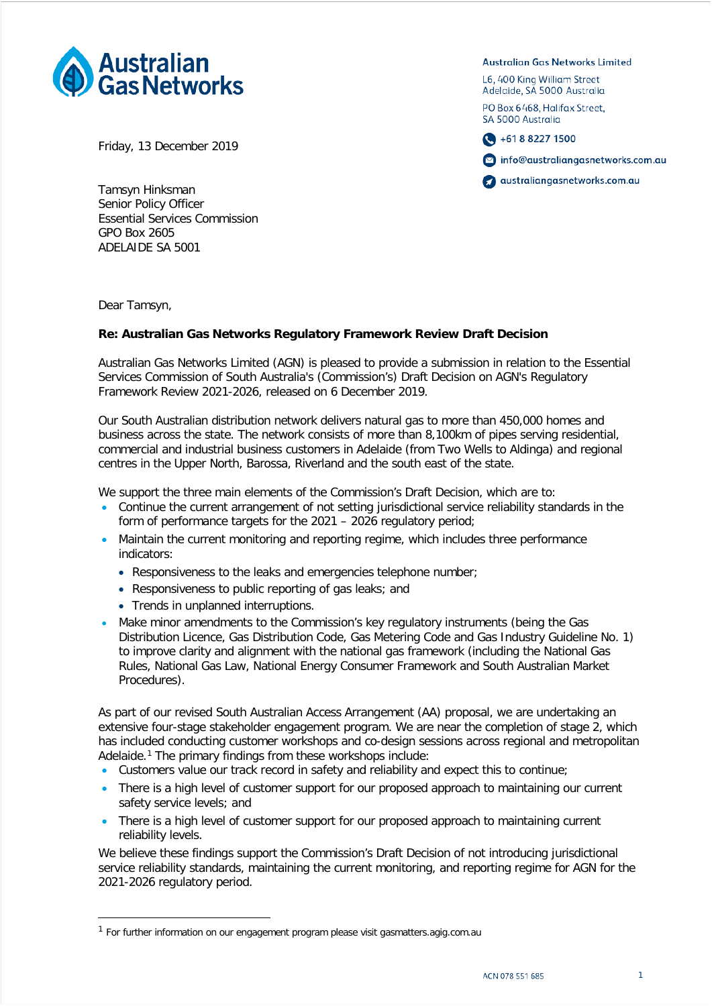

Friday, 13 December 2019

Tamsyn Hinksman Senior Policy Officer Essential Services Commission GPO Box 2605 ADELAIDE SA 5001

Dear Tamsyn,

## **Re: Australian Gas Networks Regulatory Framework Review Draft Decision**

Australian Gas Networks Limited (AGN) is pleased to provide a submission in relation to the Essential Services Commission of South Australia's (Commission's) Draft Decision on AGN's Regulatory Framework Review 2021-2026, released on 6 December 2019.

Our South Australian distribution network delivers natural gas to more than 450,000 homes and business across the state. The network consists of more than 8,100km of pipes serving residential, commercial and industrial business customers in Adelaide (from Two Wells to Aldinga) and regional centres in the Upper North, Barossa, Riverland and the south east of the state.

We support the three main elements of the Commission's Draft Decision, which are to:

- Continue the current arrangement of not setting jurisdictional service reliability standards in the form of performance targets for the 2021 – 2026 regulatory period;
- Maintain the current monitoring and reporting regime, which includes three performance indicators:
	- Responsiveness to the leaks and emergencies telephone number;
	- Responsiveness to public reporting of gas leaks; and
	- Trends in unplanned interruptions.
- Make minor amendments to the Commission's key regulatory instruments (being the Gas Distribution Licence, Gas Distribution Code, Gas Metering Code and Gas Industry Guideline No. 1) to improve clarity and alignment with the national gas framework (including the National Gas Rules, National Gas Law, National Energy Consumer Framework and South Australian Market Procedures).

As part of our revised South Australian Access Arrangement (AA) proposal, we are undertaking an extensive four-stage stakeholder engagement program. We are near the completion of stage 2, which has included conducting customer workshops and co-design sessions across regional and metropolitan Adelaide.<sup>[1](#page-0-0)</sup> The primary findings from these workshops include:

- Customers value our track record in safety and reliability and expect this to continue;
- There is a high level of customer support for our proposed approach to maintaining our current safety service levels; and
- There is a high level of customer support for our proposed approach to maintaining current reliability levels.

We believe these findings support the Commission's Draft Decision of not introducing jurisdictional service reliability standards, maintaining the current monitoring, and reporting regime for AGN for the 2021-2026 regulatory period.

Australian Gas Networks Limited

L6, 400 King William Street Adelaide, SA 5000 Australia

PO Box 6468, Halifax Street. SA 5000 Australia



nfo@australiangasnetworks.com.au

australiangasnetworks.com.au

<span id="page-0-0"></span><sup>&</sup>lt;sup>1</sup> For further information on our engagement program please visit gasmatters.agig.com.au